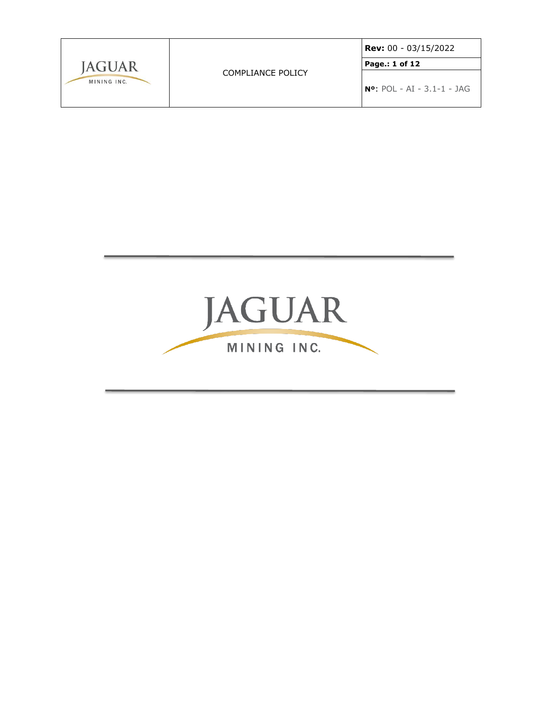|               | COMPLIANCE POLICY | <b>Rev:</b> 00 - 03/15/2022    |  |
|---------------|-------------------|--------------------------------|--|
| <b>IAGUAR</b> |                   | Page.: 1 of 12                 |  |
| MINING INC.   |                   | $N^o$ : POL - AI - 3.1-1 - JAG |  |

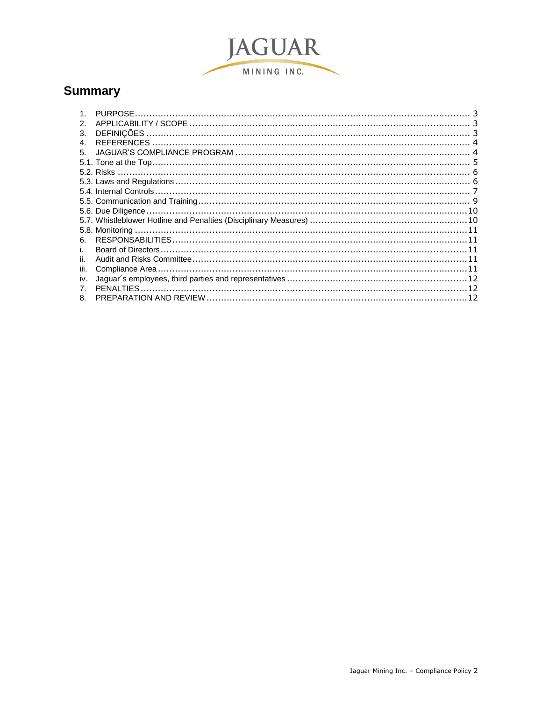

# **Summary**

| $\mathcal{P}$ |  |
|---------------|--|
| 3.            |  |
| 4.            |  |
| 5.            |  |
|               |  |
|               |  |
|               |  |
|               |  |
|               |  |
|               |  |
|               |  |
|               |  |
| 6.            |  |
| L.            |  |
| ii.           |  |
| iii.          |  |
| iv.           |  |
|               |  |
| 8             |  |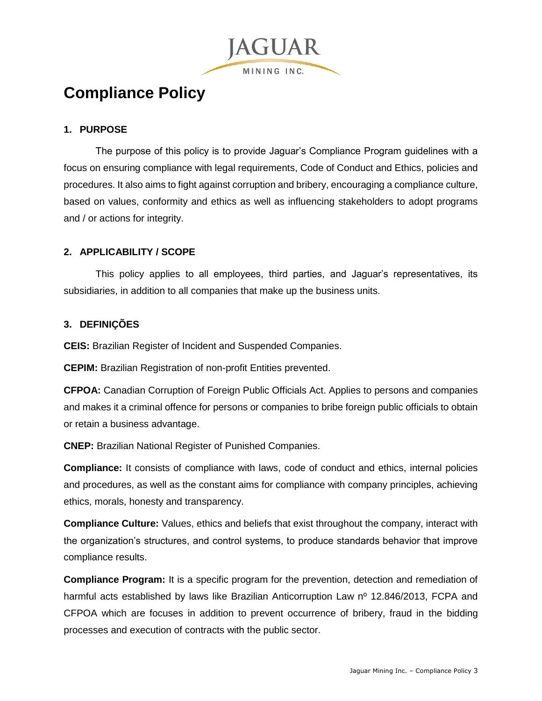**Compliance Policy**

## <span id="page-2-0"></span>**1. PURPOSE**

The purpose of this policy is to provide Jaguar's Compliance Program guidelines with a focus on ensuring compliance with legal requirements, Code of Conduct and Ethics, policies and procedures. It also aims to fight against corruption and bribery, encouraging a compliance culture, based on values, conformity and ethics as well as influencing stakeholders to adopt programs and / or actions for integrity.

**JAGUAR** 

MINING INC.

#### <span id="page-2-1"></span>**2. APPLICABILITY / SCOPE**

This policy applies to all employees, third parties, and Jaguar's representatives, its subsidiaries, in addition to all companies that make up the business units.

#### <span id="page-2-2"></span>**3. DEFINIÇÕES**

**CEIS:** Brazilian Register of Incident and Suspended Companies.

**CEPIM:** Brazilian Registration of non-profit Entities prevented.

**CFPOA:** Canadian Corruption of Foreign Public Officials Act. Applies to persons and companies and makes it a criminal offence for persons or companies to bribe foreign public officials to obtain or retain a business advantage.

**CNEP:** Brazilian National Register of Punished Companies.

**Compliance:** It consists of compliance with laws, code of conduct and ethics, internal policies and procedures, as well as the constant aims for compliance with company principles, achieving ethics, morals, honesty and transparency.

**Compliance Culture:** Values, ethics and beliefs that exist throughout the company, interact with the organization's structures, and control systems, to produce standards behavior that improve compliance results.

**Compliance Program:** It is a specific program for the prevention, detection and remediation of harmful acts established by laws like Brazilian Anticorruption Law n<sup>o</sup> 12.846/2013, FCPA and CFPOA which are focuses in addition to prevent occurrence of bribery, fraud in the bidding processes and execution of contracts with the public sector.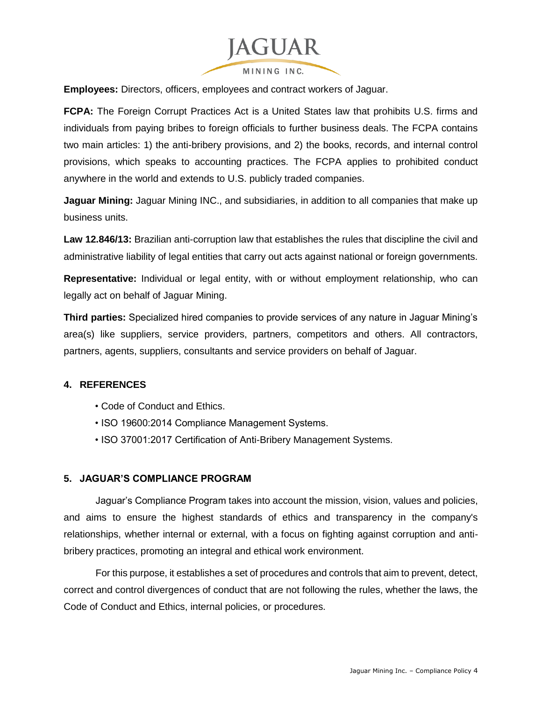

**Employees:** Directors, officers, employees and contract workers of Jaguar.

**FCPA:** The Foreign Corrupt Practices Act is a United States law that prohibits U.S. firms and individuals from paying bribes to foreign officials to further business deals. The FCPA contains two main articles: 1) the anti-bribery provisions, and 2) the books, records, and internal control provisions, which speaks to accounting practices. The FCPA applies to prohibited conduct anywhere in the world and extends to U.S. publicly traded companies.

**Jaguar Mining:** Jaguar Mining INC., and subsidiaries, in addition to all companies that make up business units.

**Law 12.846/13:** Brazilian anti-corruption law that establishes the rules that discipline the civil and administrative liability of legal entities that carry out acts against national or foreign governments.

**Representative:** Individual or legal entity, with or without employment relationship, who can legally act on behalf of Jaguar Mining.

**Third parties:** Specialized hired companies to provide services of any nature in Jaguar Mining's area(s) like suppliers, service providers, partners, competitors and others. All contractors, partners, agents, suppliers, consultants and service providers on behalf of Jaguar.

## <span id="page-3-0"></span>**4. REFERENCES**

- Code of Conduct and Ethics.
- ISO 19600:2014 Compliance Management Systems.
- ISO 37001:2017 Certification of Anti-Bribery Management Systems.

#### <span id="page-3-1"></span>**5. JAGUAR'S COMPLIANCE PROGRAM**

Jaguar's Compliance Program takes into account the mission, vision, values and policies, and aims to ensure the highest standards of ethics and transparency in the company's relationships, whether internal or external, with a focus on fighting against corruption and antibribery practices, promoting an integral and ethical work environment.

For this purpose, it establishes a set of procedures and controls that aim to prevent, detect, correct and control divergences of conduct that are not following the rules, whether the laws, the Code of Conduct and Ethics, internal policies, or procedures.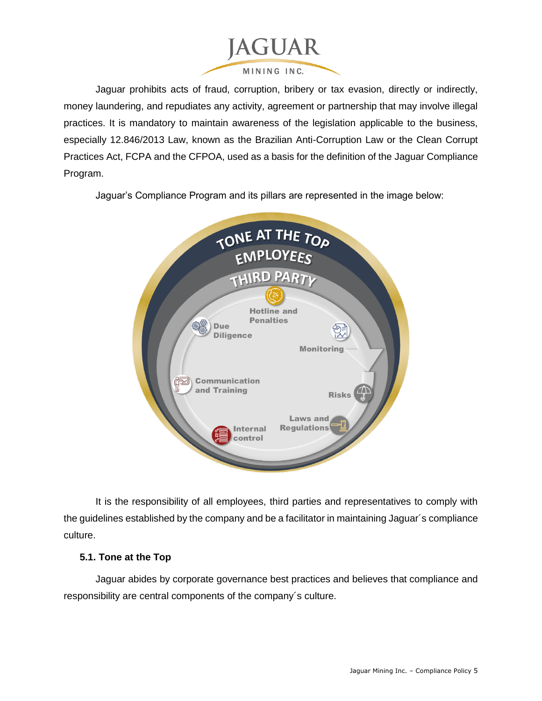

Jaguar prohibits acts of fraud, corruption, bribery or tax evasion, directly or indirectly, money laundering, and repudiates any activity, agreement or partnership that may involve illegal practices. It is mandatory to maintain awareness of the legislation applicable to the business, especially 12.846/2013 Law, known as the Brazilian Anti-Corruption Law or the Clean Corrupt Practices Act, FCPA and the CFPOA, used as a basis for the definition of the Jaguar Compliance Program.

Jaguar's Compliance Program and its pillars are represented in the image below:



It is the responsibility of all employees, third parties and representatives to comply with the guidelines established by the company and be a facilitator in maintaining Jaguar´s compliance culture.

## <span id="page-4-0"></span>**5.1. Tone at the Top**

Jaguar abides by corporate governance best practices and believes that compliance and responsibility are central components of the company´s culture.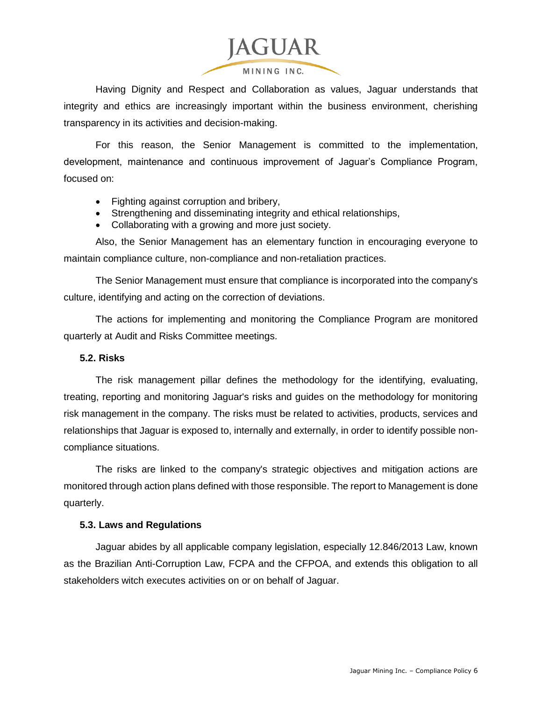

Having Dignity and Respect and Collaboration as values, Jaguar understands that integrity and ethics are increasingly important within the business environment, cherishing transparency in its activities and decision-making.

For this reason, the Senior Management is committed to the implementation, development, maintenance and continuous improvement of Jaguar's Compliance Program, focused on:

- Fighting against corruption and bribery,
- Strengthening and disseminating integrity and ethical relationships,
- Collaborating with a growing and more just society.

Also, the Senior Management has an elementary function in encouraging everyone to maintain compliance culture, non-compliance and non-retaliation practices.

The Senior Management must ensure that compliance is incorporated into the company's culture, identifying and acting on the correction of deviations.

The actions for implementing and monitoring the Compliance Program are monitored quarterly at Audit and Risks Committee meetings.

## <span id="page-5-0"></span>**5.2. Risks**

The risk management pillar defines the methodology for the identifying, evaluating, treating, reporting and monitoring Jaguar's risks and guides on the methodology for monitoring risk management in the company. The risks must be related to activities, products, services and relationships that Jaguar is exposed to, internally and externally, in order to identify possible noncompliance situations.

The risks are linked to the company's strategic objectives and mitigation actions are monitored through action plans defined with those responsible. The report to Management is done quarterly.

## <span id="page-5-1"></span>**5.3. Laws and Regulations**

Jaguar abides by all applicable company legislation, especially 12.846/2013 Law, known as the Brazilian Anti-Corruption Law, FCPA and the CFPOA, and extends this obligation to all stakeholders witch executes activities on or on behalf of Jaguar.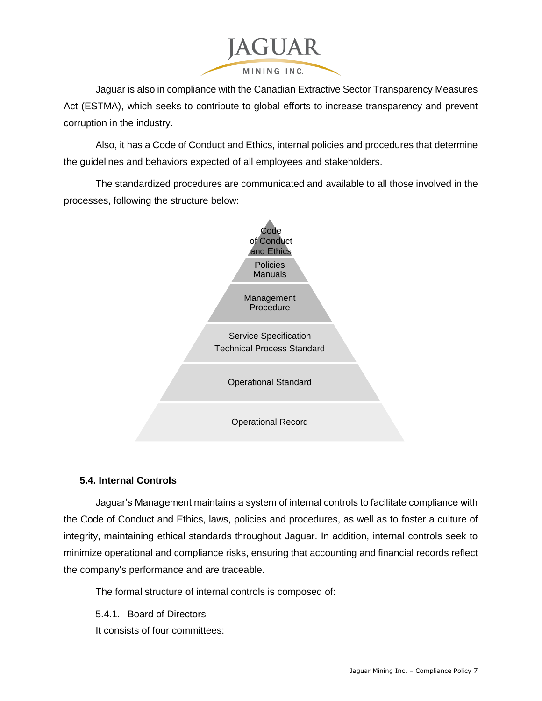

Jaguar is also in compliance with the Canadian Extractive Sector Transparency Measures Act (ESTMA), which seeks to contribute to global efforts to increase transparency and prevent corruption in the industry.

Also, it has a Code of Conduct and Ethics, internal policies and procedures that determine the guidelines and behaviors expected of all employees and stakeholders.

The standardized procedures are communicated and available to all those involved in the processes, following the structure below:



# <span id="page-6-0"></span>**5.4. Internal Controls**

Jaguar's Management maintains a system of internal controls to facilitate compliance with the Code of Conduct and Ethics, laws, policies and procedures, as well as to foster a culture of integrity, maintaining ethical standards throughout Jaguar. In addition, internal controls seek to minimize operational and compliance risks, ensuring that accounting and financial records reflect the company's performance and are traceable.

The formal structure of internal controls is composed of:

5.4.1. Board of Directors It consists of four committees: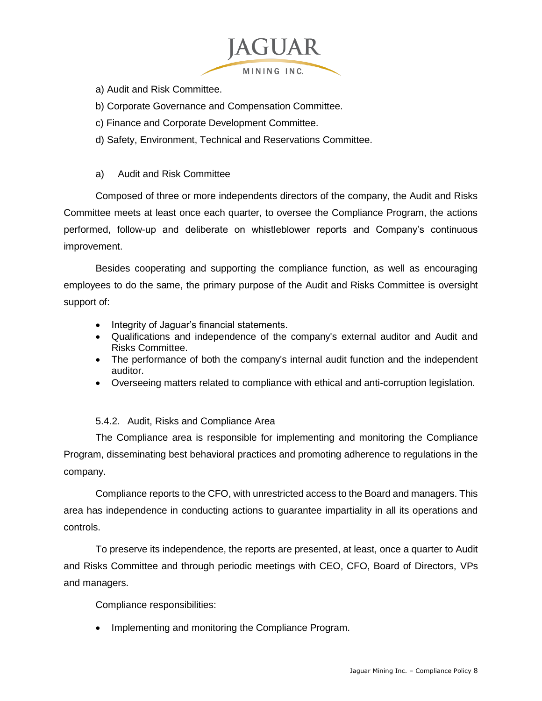

a) Audit and Risk Committee.

- b) Corporate Governance and Compensation Committee.
- c) Finance and Corporate Development Committee.
- d) Safety, Environment, Technical and Reservations Committee.

## a) Audit and Risk Committee

Composed of three or more independents directors of the company, the Audit and Risks Committee meets at least once each quarter, to oversee the Compliance Program, the actions performed, follow-up and deliberate on whistleblower reports and Company's continuous improvement.

Besides cooperating and supporting the compliance function, as well as encouraging employees to do the same, the primary purpose of the Audit and Risks Committee is oversight support of:

- Integrity of Jaguar's financial statements.
- Qualifications and independence of the company's external auditor and Audit and Risks Committee.
- The performance of both the company's internal audit function and the independent auditor.
- Overseeing matters related to compliance with ethical and anti-corruption legislation.

# 5.4.2. Audit, Risks and Compliance Area

The Compliance area is responsible for implementing and monitoring the Compliance Program, disseminating best behavioral practices and promoting adherence to regulations in the company.

Compliance reports to the CFO, with unrestricted access to the Board and managers. This area has independence in conducting actions to guarantee impartiality in all its operations and controls.

To preserve its independence, the reports are presented, at least, once a quarter to Audit and Risks Committee and through periodic meetings with CEO, CFO, Board of Directors, VPs and managers.

Compliance responsibilities:

• Implementing and monitoring the Compliance Program.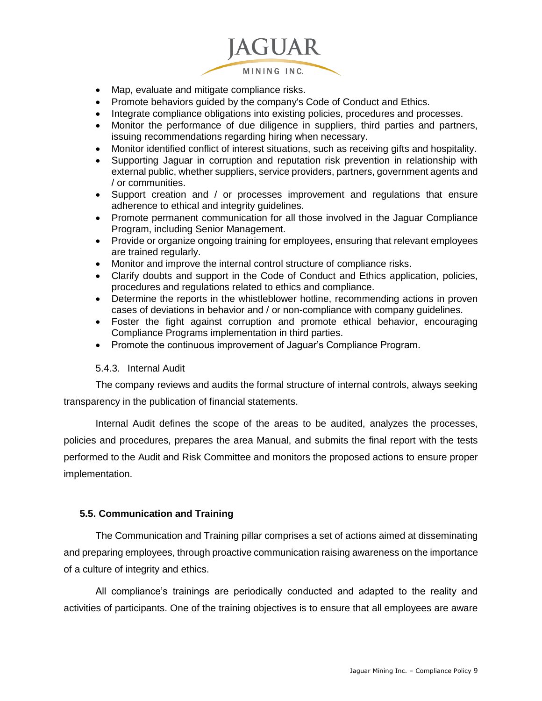

- Map, evaluate and mitigate compliance risks.
- Promote behaviors guided by the company's Code of Conduct and Ethics.
- Integrate compliance obligations into existing policies, procedures and processes.
- Monitor the performance of due diligence in suppliers, third parties and partners, issuing recommendations regarding hiring when necessary.
- Monitor identified conflict of interest situations, such as receiving gifts and hospitality.
- Supporting Jaguar in corruption and reputation risk prevention in relationship with external public, whether suppliers, service providers, partners, government agents and / or communities.
- Support creation and / or processes improvement and regulations that ensure adherence to ethical and integrity guidelines.
- Promote permanent communication for all those involved in the Jaguar Compliance Program, including Senior Management.
- Provide or organize ongoing training for employees, ensuring that relevant employees are trained regularly.
- Monitor and improve the internal control structure of compliance risks.
- Clarify doubts and support in the Code of Conduct and Ethics application, policies, procedures and regulations related to ethics and compliance.
- Determine the reports in the whistleblower hotline, recommending actions in proven cases of deviations in behavior and / or non-compliance with company guidelines.
- Foster the fight against corruption and promote ethical behavior, encouraging Compliance Programs implementation in third parties.
- Promote the continuous improvement of Jaguar's Compliance Program.

#### 5.4.3. Internal Audit

The company reviews and audits the formal structure of internal controls, always seeking transparency in the publication of financial statements.

Internal Audit defines the scope of the areas to be audited, analyzes the processes, policies and procedures, prepares the area Manual, and submits the final report with the tests performed to the Audit and Risk Committee and monitors the proposed actions to ensure proper implementation.

#### <span id="page-8-0"></span>**5.5. Communication and Training**

The Communication and Training pillar comprises a set of actions aimed at disseminating and preparing employees, through proactive communication raising awareness on the importance of a culture of integrity and ethics.

All compliance's trainings are periodically conducted and adapted to the reality and activities of participants. One of the training objectives is to ensure that all employees are aware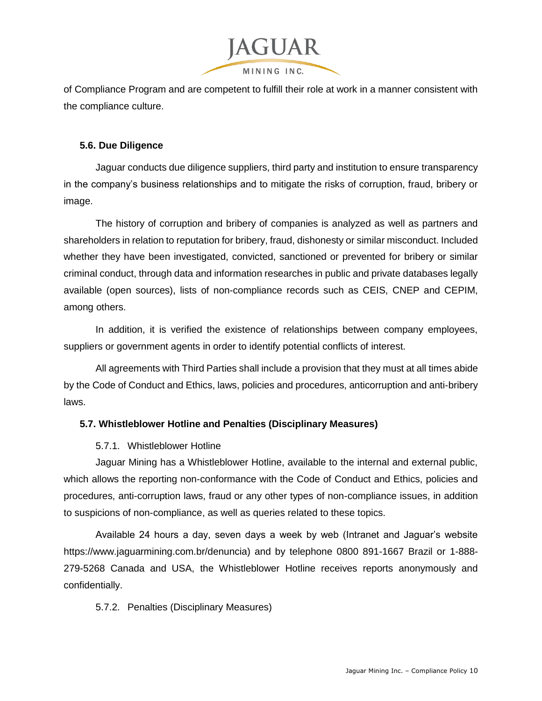

of Compliance Program and are competent to fulfill their role at work in a manner consistent with the compliance culture.

## <span id="page-9-0"></span>**5.6. Due Diligence**

Jaguar conducts due diligence suppliers, third party and institution to ensure transparency in the company's business relationships and to mitigate the risks of corruption, fraud, bribery or image.

The history of corruption and bribery of companies is analyzed as well as partners and shareholders in relation to reputation for bribery, fraud, dishonesty or similar misconduct. Included whether they have been investigated, convicted, sanctioned or prevented for bribery or similar criminal conduct, through data and information researches in public and private databases legally available (open sources), lists of non-compliance records such as CEIS, CNEP and CEPIM, among others.

In addition, it is verified the existence of relationships between company employees, suppliers or government agents in order to identify potential conflicts of interest.

All agreements with Third Parties shall include a provision that they must at all times abide by the Code of Conduct and Ethics, laws, policies and procedures, anticorruption and anti-bribery laws.

## <span id="page-9-1"></span>**5.7. Whistleblower Hotline and Penalties (Disciplinary Measures)**

## 5.7.1. Whistleblower Hotline

Jaguar Mining has a Whistleblower Hotline, available to the internal and external public, which allows the reporting non-conformance with the Code of Conduct and Ethics, policies and procedures, anti-corruption laws, fraud or any other types of non-compliance issues, in addition to suspicions of non-compliance, as well as queries related to these topics.

Available 24 hours a day, seven days a week by web (Intranet and Jaguar's website https://www.jaguarmining.com.br/denuncia) and by telephone 0800 891-1667 Brazil or 1-888- 279-5268 Canada and USA, the Whistleblower Hotline receives reports anonymously and confidentially.

## 5.7.2. Penalties (Disciplinary Measures)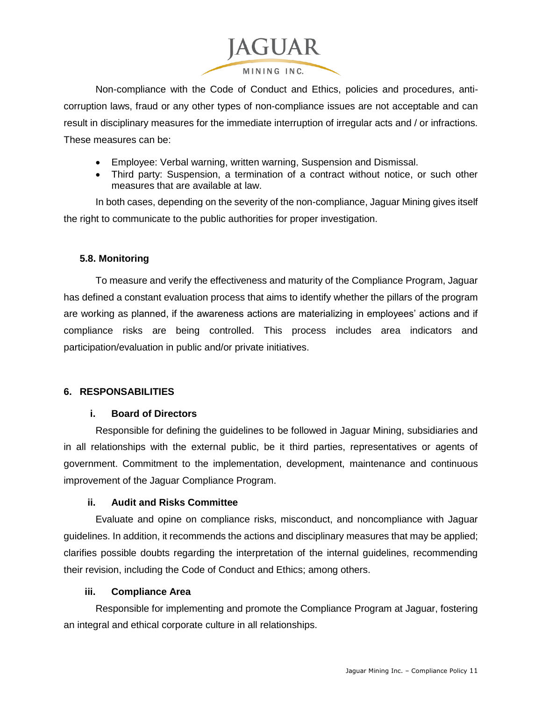

Non-compliance with the Code of Conduct and Ethics, policies and procedures, anticorruption laws, fraud or any other types of non-compliance issues are not acceptable and can result in disciplinary measures for the immediate interruption of irregular acts and / or infractions. These measures can be:

- Employee: Verbal warning, written warning, Suspension and Dismissal.
- Third party: Suspension, a termination of a contract without notice, or such other measures that are available at law.

In both cases, depending on the severity of the non-compliance, Jaguar Mining gives itself the right to communicate to the public authorities for proper investigation.

## <span id="page-10-0"></span>**5.8. Monitoring**

To measure and verify the effectiveness and maturity of the Compliance Program, Jaguar has defined a constant evaluation process that aims to identify whether the pillars of the program are working as planned, if the awareness actions are materializing in employees' actions and if compliance risks are being controlled. This process includes area indicators and participation/evaluation in public and/or private initiatives.

# <span id="page-10-1"></span>**6. RESPONSABILITIES**

## **i. Board of Directors**

<span id="page-10-2"></span>Responsible for defining the guidelines to be followed in Jaguar Mining, subsidiaries and in all relationships with the external public, be it third parties, representatives or agents of government. Commitment to the implementation, development, maintenance and continuous improvement of the Jaguar Compliance Program.

## **ii. Audit and Risks Committee**

<span id="page-10-3"></span>Evaluate and opine on compliance risks, misconduct, and noncompliance with Jaguar guidelines. In addition, it recommends the actions and disciplinary measures that may be applied; clarifies possible doubts regarding the interpretation of the internal guidelines, recommending their revision, including the Code of Conduct and Ethics; among others.

## **iii. Compliance Area**

<span id="page-10-4"></span>Responsible for implementing and promote the Compliance Program at Jaguar, fostering an integral and ethical corporate culture in all relationships.